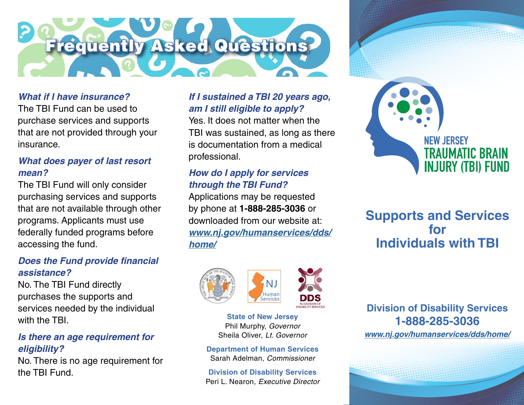

#### *What if I have insurance?*

The TBI Fund can be used to purchase services and supports that are not provided through your insurance.

#### *What does payer of last resort mean?*

The TBI Fund will only consider purchasing services and supports that are not available through other programs. Applicants must use federally funded programs before accessing the fund.

#### *Does the Fund provide fnancial assistance?*

No. The TBI Fund directly purchases the supports and services needed by the individual with the TRI

#### *Is there an age requirement for eligibility?*

No. There is no age requirement for the TBI Fund.

#### *If I sustained a TBI 20 years ago, am I still eligible to apply?*

Yes. It does not matter when the TBI was sustained, as long as there is documentation from a medical professional.

#### *How do I apply for services through the TBI Fund?*

Applications may be requested by phone at **1-888-285-3036** or downloaded from our website at: *[www.nj.gov/humanservices/dds/](https://www.nj.gov/humanservices/dds/home/) [home/](https://www.nj.gov/humanservices/dds/home/)* 



**State of New Jersey**  Phil Murphy, *Governor*  Sheila Oliver, *Lt. Governor* 

**Department of Human Services**  Sarah Adelman*, Commissioner* 

**Division of Disability Services**  Peri L. Nearon*, Executive Director* 



# **Supports and Services for Individuals with TBI**

**Division of Disability Services 1-888-285-3036** 

*[www.nj.gov/humanservices/dds/home/](https://www.nj.gov/humanservices/dds/home/)*